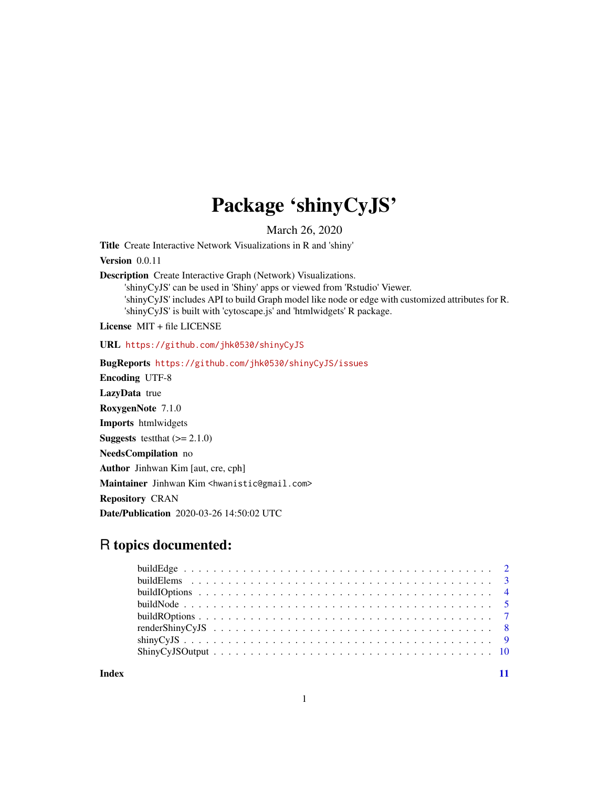## Package 'shinyCyJS'

March 26, 2020

Title Create Interactive Network Visualizations in R and 'shiny'

Version 0.0.11

Description Create Interactive Graph (Network) Visualizations.

'shinyCyJS' can be used in 'Shiny' apps or viewed from 'Rstudio' Viewer. 'shinyCyJS' includes API to build Graph model like node or edge with customized attributes for R. 'shinyCyJS' is built with 'cytoscape.js' and 'htmlwidgets' R package.

License MIT + file LICENSE

URL <https://github.com/jhk0530/shinyCyJS>

BugReports <https://github.com/jhk0530/shinyCyJS/issues> Encoding UTF-8 LazyData true RoxygenNote 7.1.0 Imports htmlwidgets **Suggests** test that  $(>= 2.1.0)$ NeedsCompilation no Author Jinhwan Kim [aut, cre, cph] Maintainer Jinhwan Kim <hwanistic@gmail.com> Repository CRAN Date/Publication 2020-03-26 14:50:02 UTC

### R topics documented:

**Index** [11](#page-10-0)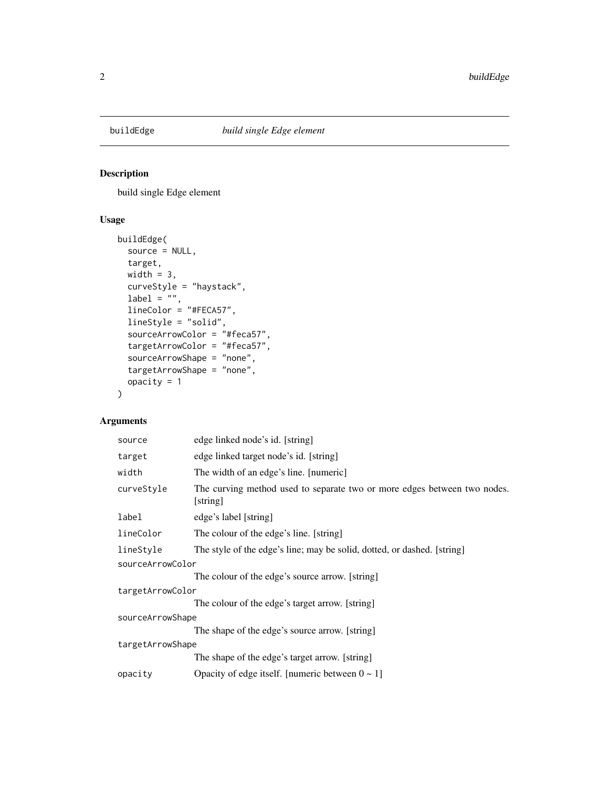<span id="page-1-0"></span>

#### Description

build single Edge element

#### Usage

```
buildEdge(
  source = NULL,
  target,
 width = 3,
 curveStyle = "haystack",
 label = "",
 lineColor = "#FECA57",
  lineStyle = "solid",
  sourceArrowColor = "#feca57",
  targetArrowColor = "#feca57",
  sourceArrowShape = "none",
  targetArrowShape = "none",
 opacity = 1
\overline{\phantom{a}}
```

| source           | edge linked node's id. [string]                                                      |
|------------------|--------------------------------------------------------------------------------------|
| target           | edge linked target node's id. [string]                                               |
| width            | The width of an edge's line. [numeric]                                               |
| curveStyle       | The curving method used to separate two or more edges between two nodes.<br>[string] |
| label            | edge's label [string]                                                                |
| lineColor        | The colour of the edge's line. [string]                                              |
| lineStyle        | The style of the edge's line; may be solid, dotted, or dashed. [string]              |
| sourceArrowColor |                                                                                      |
|                  | The colour of the edge's source arrow. [string]                                      |
| targetArrowColor |                                                                                      |
|                  | The colour of the edge's target arrow. [string]                                      |
| sourceArrowShape |                                                                                      |
|                  | The shape of the edge's source arrow. [string]                                       |
| targetArrowShape |                                                                                      |
|                  | The shape of the edge's target arrow. [string]                                       |
| opacity          | Opacity of edge itself. [numeric between $0 \sim 1$ ]                                |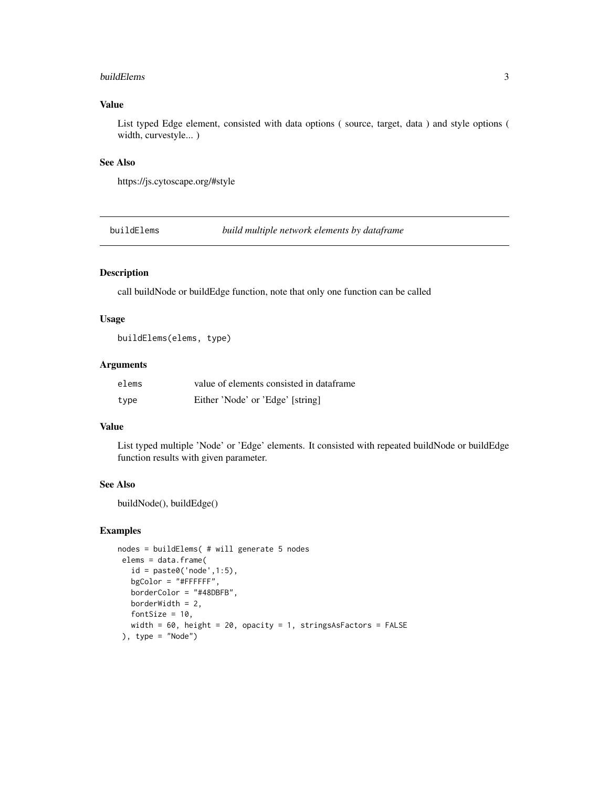#### <span id="page-2-0"></span>buildElems 3

#### Value

List typed Edge element, consisted with data options ( source, target, data ) and style options ( width, curvestyle... )

#### See Also

https://js.cytoscape.org/#style

buildElems *build multiple network elements by dataframe*

#### Description

call buildNode or buildEdge function, note that only one function can be called

#### Usage

buildElems(elems, type)

#### Arguments

| elems | value of elements consisted in dataframe |
|-------|------------------------------------------|
| type  | Either 'Node' or 'Edge' [string]         |

#### Value

List typed multiple 'Node' or 'Edge' elements. It consisted with repeated buildNode or buildEdge function results with given parameter.

#### See Also

buildNode(), buildEdge()

#### Examples

```
nodes = buildElems( # will generate 5 nodes
 elems = data.frame(
  id = paste0('node', 1:5),
  bgColor = "#FFFFFF",
  borderColor = "#48DBFB",
  borderWidth = 2,
  fontSize = 10,
  width = 60, height = 20, opacity = 1, stringsAsFactors = FALSE
 ), type = "Node")
```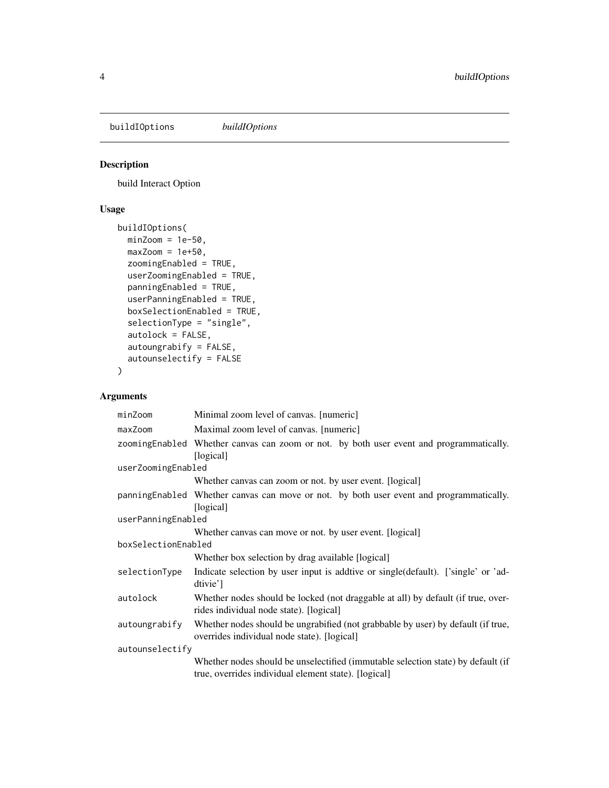<span id="page-3-0"></span>buildIOptions *buildIOptions*

#### Description

build Interact Option

#### Usage

```
buildIOptions(
 minZoom = 1e-50,
 maxZoom = 1e+50,
 zoomingEnabled = TRUE,
 userZoomingEnabled = TRUE,
 panningEnabled = TRUE,
 userPanningEnabled = TRUE,
 boxSelectionEnabled = TRUE,
  selectionType = "single",
  autolock = FALSE,
  autoungrabify = FALSE,
  autounselectify = FALSE
)
```

| minZoom             | Minimal zoom level of canvas. [numeric]                                                                                                  |
|---------------------|------------------------------------------------------------------------------------------------------------------------------------------|
| maxZoom             | Maximal zoom level of canvas. [numeric]                                                                                                  |
|                     | zoomingEnabled Whether canvas can zoom or not. by both user event and programmatically.<br>[logical]                                     |
| userZoomingEnabled  |                                                                                                                                          |
|                     | Whether canvas can zoom or not. by user event. [logical]                                                                                 |
|                     | panning Enabled Whether canvas can move or not. by both user event and programmatically.<br>[logical]                                    |
| userPanningEnabled  |                                                                                                                                          |
|                     | Whether canvas can move or not. by user event. [logical]                                                                                 |
| boxSelectionEnabled |                                                                                                                                          |
|                     | Whether box selection by drag available [logical]                                                                                        |
| selectionType       | Indicate selection by user input is addive or single (default). ['single' or 'ad-<br>dtivie']                                            |
| autolock            | Whether nodes should be locked (not draggable at all) by default (if true, over-<br>rides individual node state). [logical]              |
| autoungrabify       | Whether nodes should be ungrabified (not grabbable by user) by default (if true,<br>overrides individual node state). [logical]          |
| autounselectify     |                                                                                                                                          |
|                     | Whether nodes should be unselectified (immutable selection state) by default (if<br>true, overrides individual element state). [logical] |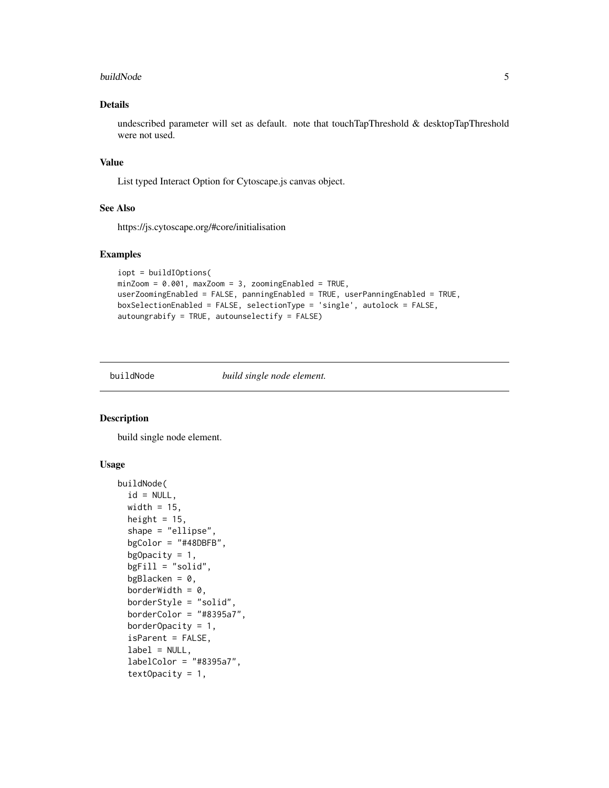#### <span id="page-4-0"></span>buildNode 5

#### Details

undescribed parameter will set as default. note that touchTapThreshold & desktopTapThreshold were not used.

#### Value

List typed Interact Option for Cytoscape.js canvas object.

#### See Also

https://js.cytoscape.org/#core/initialisation

#### Examples

```
iopt = buildIOptions(
minZoom = 0.001, maxZoom = 3, zoomingEnabled = TRUE,
userZoomingEnabled = FALSE, panningEnabled = TRUE, userPanningEnabled = TRUE,
boxSelectionEnabled = FALSE, selectionType = 'single', autolock = FALSE,
autoungrabify = TRUE, autounselectify = FALSE)
```
buildNode *build single node element.*

#### Description

build single node element.

#### Usage

```
buildNode(
  id = NULL,width = 15,
  height = 15,
  shape = "ellipse",
  bgColor = "#48DBFB",bgOpacity = 1,
  bgFill = "solid",
  bgBlacken = 0,
  borderWidth = 0,
  borderStyle = "solid",
  borderColor = "#8395a7",borderOpacity = 1,
  isParent = FALSE,
  label = NULL,labelColor = "#8395a7",
  textOpacity = 1,
```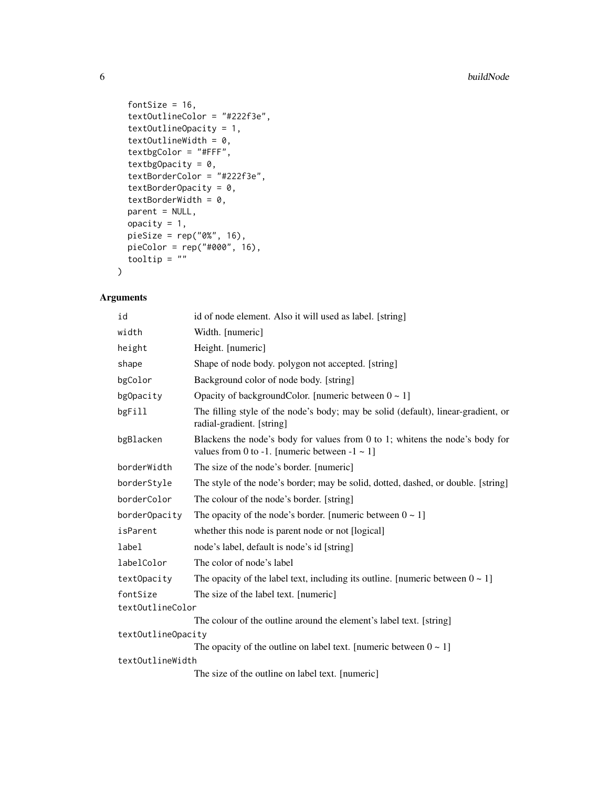```
fontSize = 16,
  textOutlineColor = "#222f3e",
  textOutlineOpacity = 1,
  textOutlineWidth = 0,
  textbgColor = "#FFF",
  textbgOpacity = 0,
  textBorderColor = "#222f3e",
  textBorderOpacity = 0,
  textBorderWidth = 0,parent = NULL,
 opacity = 1,
 pieSize = rep("0%", 16),
 pieColor = rep("#000", 16),
 tooltip = ""
\mathcal{L}
```

| id                 | id of node element. Also it will used as label. [string]                                                                            |
|--------------------|-------------------------------------------------------------------------------------------------------------------------------------|
| width              | Width. [numeric]                                                                                                                    |
| height             | Height. [numeric]                                                                                                                   |
| shape              | Shape of node body, polygon not accepted. [string]                                                                                  |
| bgColor            | Background color of node body. [string]                                                                                             |
| bgOpacity          | Opacity of backgroundColor. [numeric between $0 \sim 1$ ]                                                                           |
| bgFill             | The filling style of the node's body; may be solid (default), linear-gradient, or<br>radial-gradient. [string]                      |
| bgBlacken          | Blackens the node's body for values from 0 to 1; whitens the node's body for<br>values from 0 to -1. [numeric between $-1 \sim 1$ ] |
| borderWidth        | The size of the node's border. [numeric]                                                                                            |
| borderStyle        | The style of the node's border; may be solid, dotted, dashed, or double. [string]                                                   |
| borderColor        | The colour of the node's border. [string]                                                                                           |
| borderOpacity      | The opacity of the node's border. [numeric between $0 \sim 1$ ]                                                                     |
| isParent           | whether this node is parent node or not [logical]                                                                                   |
| label              | node's label, default is node's id [string]                                                                                         |
| labelColor         | The color of node's label                                                                                                           |
| textOpacity        | The opacity of the label text, including its outline. [numeric between $0 \sim 1$ ]                                                 |
| fontSize           | The size of the label text. [numeric]                                                                                               |
| text0utlineColor   |                                                                                                                                     |
|                    | The colour of the outline around the element's label text. [string]                                                                 |
| text0utline0pacity |                                                                                                                                     |
|                    | The opacity of the outline on label text. [numeric between $0 \sim 1$ ]                                                             |
| textOutlineWidth   |                                                                                                                                     |
|                    | The size of the outline on label text. [numeric]                                                                                    |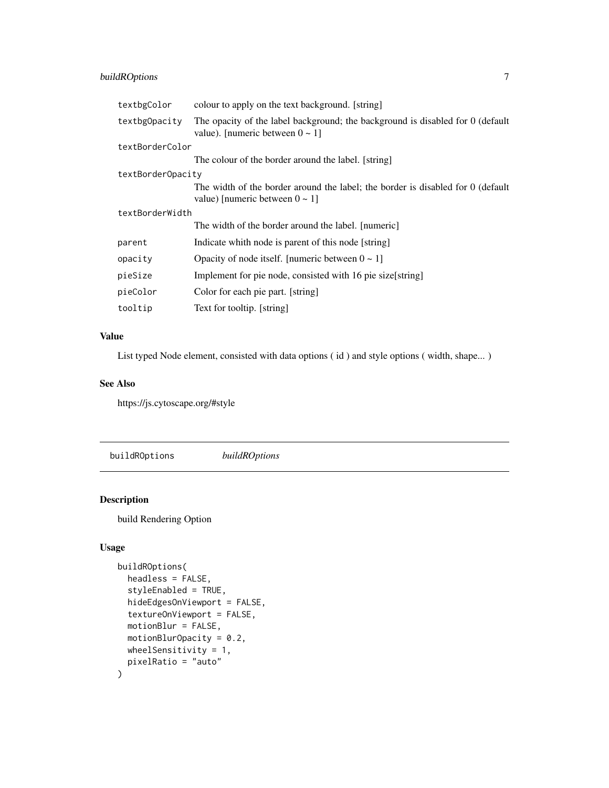#### <span id="page-6-0"></span>buildROptions 7

| textbgColor       | colour to apply on the text background. [string]                                                                        |
|-------------------|-------------------------------------------------------------------------------------------------------------------------|
| textbgOpacity     | The opacity of the label background; the background is disabled for 0 (default<br>value). [numeric between $0 \sim 1$ ] |
| textBorderColor   |                                                                                                                         |
|                   | The colour of the border around the label. [string]                                                                     |
| textBorderOpacity |                                                                                                                         |
|                   | The width of the border around the label; the border is disabled for 0 (default<br>value) [numeric between $0 \sim 1$ ] |
| textBorderWidth   |                                                                                                                         |
|                   | The width of the border around the label. [numeric]                                                                     |
| parent            | Indicate whith node is parent of this node [string]                                                                     |
| opacity           | Opacity of node itself. [numeric between $0 \sim 1$ ]                                                                   |
| pieSize           | Implement for pie node, consisted with 16 pie size [string]                                                             |
| pieColor          | Color for each pie part. [string]                                                                                       |
| tooltip           | Text for tooltip. [string]                                                                                              |

#### Value

List typed Node element, consisted with data options ( id ) and style options ( width, shape... )

#### See Also

https://js.cytoscape.org/#style

buildROptions *buildROptions*

#### Description

build Rendering Option

#### Usage

```
buildROptions(
 headless = FALSE,
  styleEnabled = TRUE,
 hideEdgesOnViewport = FALSE,
  textureOnViewport = FALSE,
 motionBlur = FALSE,
 motionBlurOpacity = 0.2,
 wheelSensitivity = 1,
 pixelRatio = "auto"
\mathcal{L}
```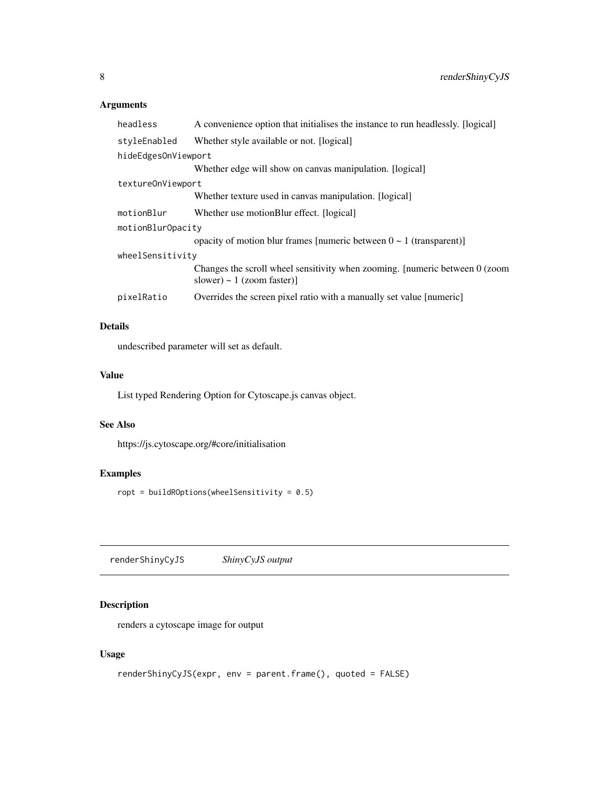#### <span id="page-7-0"></span>Arguments

| headless            | A convenience option that initialises the instance to run headlessly. [logical]                                |
|---------------------|----------------------------------------------------------------------------------------------------------------|
| styleEnabled        | Whether style available or not. [logical]                                                                      |
| hideEdgesOnViewport |                                                                                                                |
|                     | Whether edge will show on canvas manipulation. [logical]                                                       |
| textureOnViewport   |                                                                                                                |
|                     | Whether texture used in canvas manipulation. [logical]                                                         |
| motionBlur          | Whether use motionBlur effect. [logical]                                                                       |
| motionBlurOpacity   |                                                                                                                |
|                     | opacity of motion blur frames [numeric between $0 \sim 1$ (transparent)]                                       |
| wheelSensitivity    |                                                                                                                |
|                     | Changes the scroll wheel sensitivity when zooming. [numeric between 0 (zoom)<br>slower) $\sim 1$ (zoom faster) |
| pixelRatio          | Overrides the screen pixel ratio with a manually set value [numeric]                                           |

#### Details

undescribed parameter will set as default.

#### Value

List typed Rendering Option for Cytoscape.js canvas object.

#### See Also

https://js.cytoscape.org/#core/initialisation

#### Examples

ropt = buildROptions(wheelSensitivity =  $0.5$ )

renderShinyCyJS *ShinyCyJS output*

#### Description

renders a cytoscape image for output

#### Usage

```
renderShinyCyJS(expr, env = parent.frame(), quoted = FALSE)
```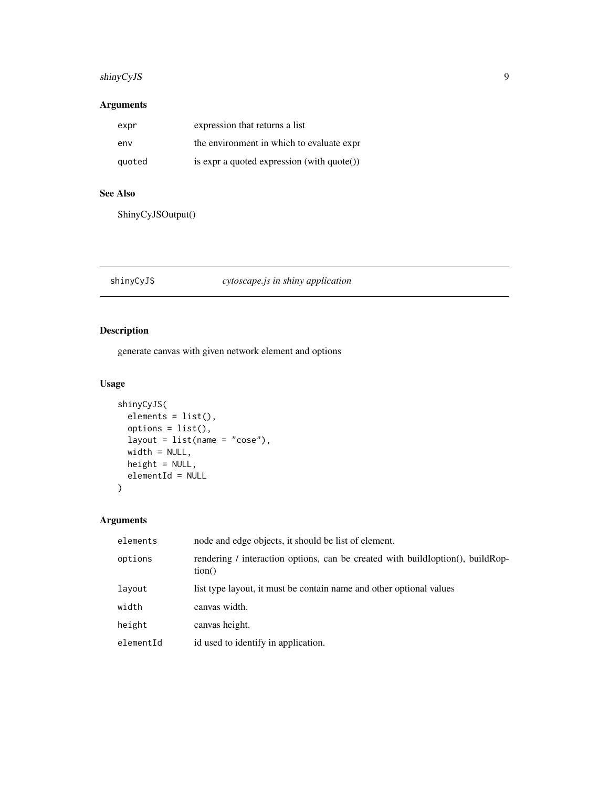#### <span id="page-8-0"></span>shinyCyJS 9

#### Arguments

| expr   | expression that returns a list                       |
|--------|------------------------------------------------------|
| env    | the environment in which to evaluate expr            |
| quoted | is expr a quoted expression (with $\text{quote}()$ ) |

#### See Also

ShinyCyJSOutput()

#### shinyCyJS *cytoscape.js in shiny application*

#### Description

generate canvas with given network element and options

#### Usage

```
shinyCyJS(
  elements = list(),
  options = list(),layout = list(name = "cose"),
  width = NULL,height = NULL,elementId = NULL\overline{\phantom{a}}
```

| elements  | node and edge objects, it should be list of element.                                     |
|-----------|------------------------------------------------------------------------------------------|
| options   | rendering / interaction options, can be created with buildIoption(), buildRop-<br>tion() |
| layout    | list type layout, it must be contain name and other optional values                      |
| width     | canvas width.                                                                            |
| height    | canvas height.                                                                           |
| elementId | id used to identify in application.                                                      |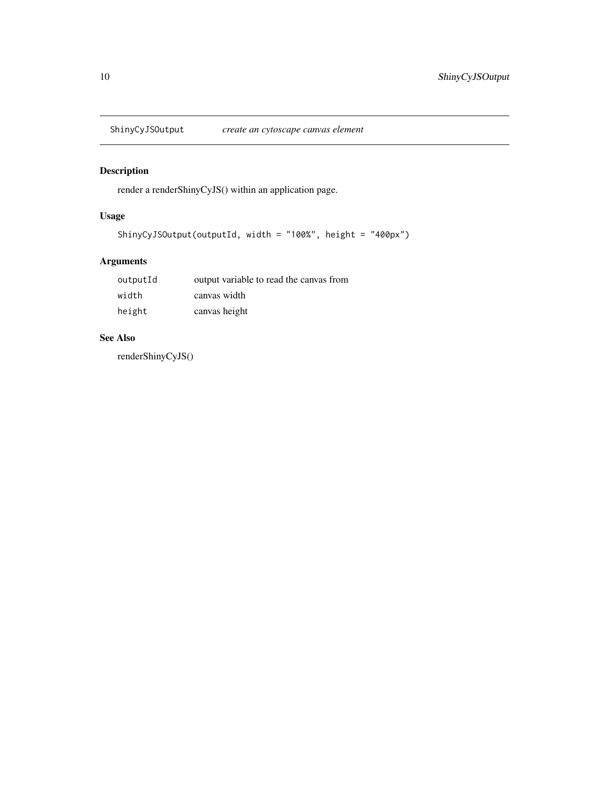<span id="page-9-0"></span>

#### Description

render a renderShinyCyJS() within an application page.

#### Usage

```
ShinyCyJSOutput(outputId, width = "100%", height = "400px")
```
#### Arguments

| outputId | output variable to read the canvas from |
|----------|-----------------------------------------|
| width    | canvas width                            |
| height   | canvas height                           |

#### See Also

renderShinyCyJS()